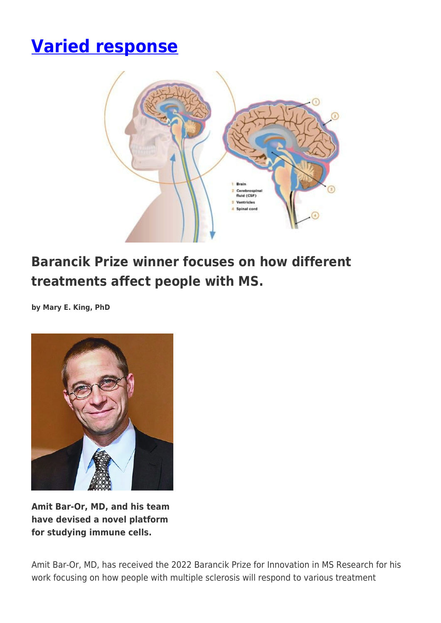# **[Varied response](https://momentummagazineonline.com/varied-response/)**



# **Barancik Prize winner focuses on how different treatments affect people with MS.**

**by Mary E. King, PhD**



**Amit Bar-Or, MD, and his team have devised a novel platform for studying immune cells.**

Amit Bar-Or, MD, has received the 2022 Barancik Prize for Innovation in MS Research for his work focusing on how people with multiple sclerosis will respond to various treatment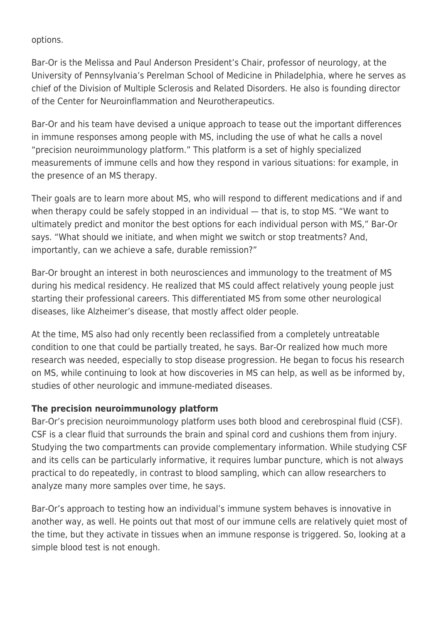options.

Bar-Or is the Melissa and Paul Anderson President's Chair, professor of neurology, at the University of Pennsylvania's Perelman School of Medicine in Philadelphia, where he serves as chief of the Division of Multiple Sclerosis and Related Disorders. He also is founding director of the Center for Neuroinflammation and Neurotherapeutics.

Bar-Or and his team have devised a unique approach to tease out the important differences in immune responses among people with MS, including the use of what he calls a novel "precision neuroimmunology platform." This platform is a set of highly specialized measurements of immune cells and how they respond in various situations: for example, in the presence of an MS therapy.

Their goals are to learn more about MS, who will respond to different medications and if and when therapy could be safely stopped in an individual — that is, to stop MS. "We want to ultimately predict and monitor the best options for each individual person with MS," Bar-Or says. "What should we initiate, and when might we switch or stop treatments? And, importantly, can we achieve a safe, durable remission?"

Bar-Or brought an interest in both neurosciences and immunology to the treatment of MS during his medical residency. He realized that MS could affect relatively young people just starting their professional careers. This differentiated MS from some other neurological diseases, like Alzheimer's disease, that mostly affect older people.

At the time, MS also had only recently been reclassified from a completely untreatable condition to one that could be partially treated, he says. Bar-Or realized how much more research was needed, especially to stop disease progression. He began to focus his research on MS, while continuing to look at how discoveries in MS can help, as well as be informed by, studies of other neurologic and immune-mediated diseases.

## **The precision neuroimmunology platform**

Bar-Or's precision neuroimmunology platform uses both blood and cerebrospinal fluid (CSF). CSF is a clear fluid that surrounds the brain and spinal cord and cushions them from injury. Studying the two compartments can provide complementary information. While studying CSF and its cells can be particularly informative, it requires lumbar puncture, which is not always practical to do repeatedly, in contrast to blood sampling, which can allow researchers to analyze many more samples over time, he says.

Bar-Or's approach to testing how an individual's immune system behaves is innovative in another way, as well. He points out that most of our immune cells are relatively quiet most of the time, but they activate in tissues when an immune response is triggered. So, looking at a simple blood test is not enough.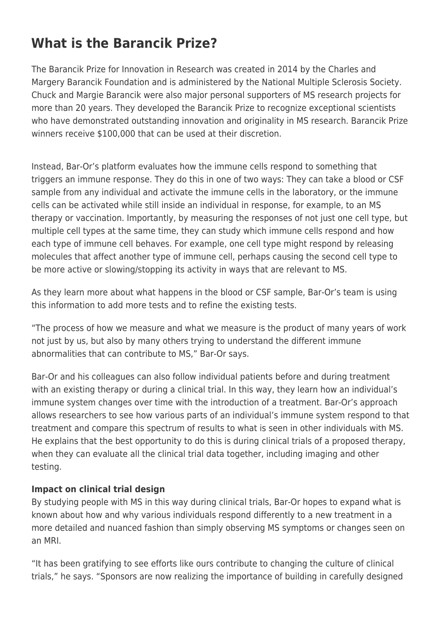# **What is the Barancik Prize?**

The Barancik Prize for Innovation in Research was created in 2014 by the Charles and Margery Barancik Foundation and is administered by the National Multiple Sclerosis Society. Chuck and Margie Barancik were also major personal supporters of MS research projects for more than 20 years. They developed the Barancik Prize to recognize exceptional scientists who have demonstrated outstanding innovation and originality in MS research. Barancik Prize winners receive \$100,000 that can be used at their discretion.

Instead, Bar-Or's platform evaluates how the immune cells respond to something that triggers an immune response. They do this in one of two ways: They can take a blood or CSF sample from any individual and activate the immune cells in the laboratory, or the immune cells can be activated while still inside an individual in response, for example, to an MS therapy or vaccination. Importantly, by measuring the responses of not just one cell type, but multiple cell types at the same time, they can study which immune cells respond and how each type of immune cell behaves. For example, one cell type might respond by releasing molecules that affect another type of immune cell, perhaps causing the second cell type to be more active or slowing/stopping its activity in ways that are relevant to MS.

As they learn more about what happens in the blood or CSF sample, Bar-Or's team is using this information to add more tests and to refine the existing tests.

"The process of how we measure and what we measure is the product of many years of work not just by us, but also by many others trying to understand the different immune abnormalities that can contribute to MS," Bar-Or says.

Bar-Or and his colleagues can also follow individual patients before and during treatment with an existing therapy or during a clinical trial. In this way, they learn how an individual's immune system changes over time with the introduction of a treatment. Bar-Or's approach allows researchers to see how various parts of an individual's immune system respond to that treatment and compare this spectrum of results to what is seen in other individuals with MS. He explains that the best opportunity to do this is during clinical trials of a proposed therapy, when they can evaluate all the clinical trial data together, including imaging and other testing.

#### **Impact on clinical trial design**

By studying people with MS in this way during clinical trials, Bar-Or hopes to expand what is known about how and why various individuals respond differently to a new treatment in a more detailed and nuanced fashion than simply observing MS symptoms or changes seen on an MRI.

"It has been gratifying to see efforts like ours contribute to changing the culture of clinical trials," he says. "Sponsors are now realizing the importance of building in carefully designed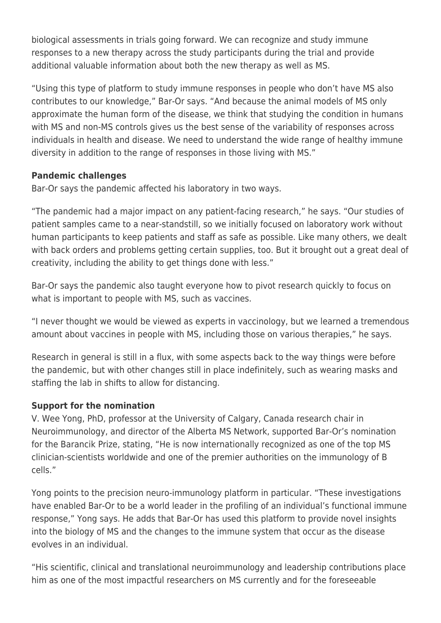biological assessments in trials going forward. We can recognize and study immune responses to a new therapy across the study participants during the trial and provide additional valuable information about both the new therapy as well as MS.

"Using this type of platform to study immune responses in people who don't have MS also contributes to our knowledge," Bar-Or says. "And because the animal models of MS only approximate the human form of the disease, we think that studying the condition in humans with MS and non-MS controls gives us the best sense of the variability of responses across individuals in health and disease. We need to understand the wide range of healthy immune diversity in addition to the range of responses in those living with MS."

### **Pandemic challenges**

Bar-Or says the pandemic affected his laboratory in two ways.

"The pandemic had a major impact on any patient-facing research," he says. "Our studies of patient samples came to a near-standstill, so we initially focused on laboratory work without human participants to keep patients and staff as safe as possible. Like many others, we dealt with back orders and problems getting certain supplies, too. But it brought out a great deal of creativity, including the ability to get things done with less."

Bar-Or says the pandemic also taught everyone how to pivot research quickly to focus on what is important to people with MS, such as vaccines.

"I never thought we would be viewed as experts in vaccinology, but we learned a tremendous amount about vaccines in people with MS, including those on various therapies," he says.

Research in general is still in a flux, with some aspects back to the way things were before the pandemic, but with other changes still in place indefinitely, such as wearing masks and staffing the lab in shifts to allow for distancing.

## **Support for the nomination**

V. Wee Yong, PhD, professor at the University of Calgary, Canada research chair in Neuroimmunology, and director of the Alberta MS Network, supported Bar-Or's nomination for the Barancik Prize, stating, "He is now internationally recognized as one of the top MS clinician-scientists worldwide and one of the premier authorities on the immunology of B cells."

Yong points to the precision neuro-immunology platform in particular. "These investigations have enabled Bar-Or to be a world leader in the profiling of an individual's functional immune response," Yong says. He adds that Bar-Or has used this platform to provide novel insights into the biology of MS and the changes to the immune system that occur as the disease evolves in an individual.

"His scientific, clinical and translational neuroimmunology and leadership contributions place him as one of the most impactful researchers on MS currently and for the foreseeable